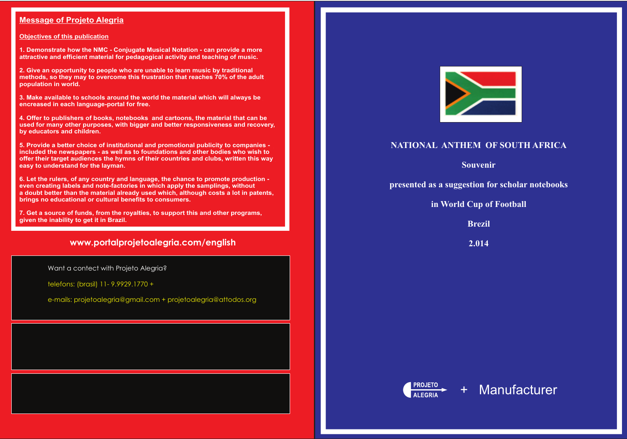#### **Message of Projeto Alegria**

#### **Objectives of this publication**

**1. Demonstrate how the NMC - Conjugate Musical Notation - can provide a more attractive and efficient material for pedagogical activity and teaching of music.**

**2. Give an opportunity to people who are unable to learn music by traditional methods, so they may to overcome this frustration that reaches 70% of the adult population in world.**

**3. Make available to schools around the world the material which will always be encreased in each language-portal for free.**

**4. Offer to publishers of books, notebooks and cartoons, the material that can be used for many other purposes, with bigger and better responsiveness and recovery, by educators and children.**

**5. Provide a better choice of institutional and promotional publicity to companies included the newspapers - as well as to foundations and other bodies who wish to offer their target audiences the hymns of their countries and clubs, written this way easy to understand for the layman.** 

**6. Let the rulers, of any country and language, the chance to promote production even creating labels and note-factories in which apply the samplings, without a doubt better than the material already used which, although costs a lot in patents, brings no educational or cultural benefits to consumers.**

**7. Get a source of funds, from the royalties, to support this and other programs, given the inability to get it in Brazil.**

### **www.portalprojetoalegria.com/english**

## **NATIONAL ANTHEM OF SOUTH AFRICA**

**Souvenir**

**presented as a suggestion for scholar notebooks**

**in World Cup of Football**

**Brezil**

**2.014**



Want a contect with Projeto Alegria?

telefons: (brasil) 11- 9.9929.1770 +

e-mails: projetoalegria@gmail.com + projetoalegria@attodos.org



# + Manufacturer